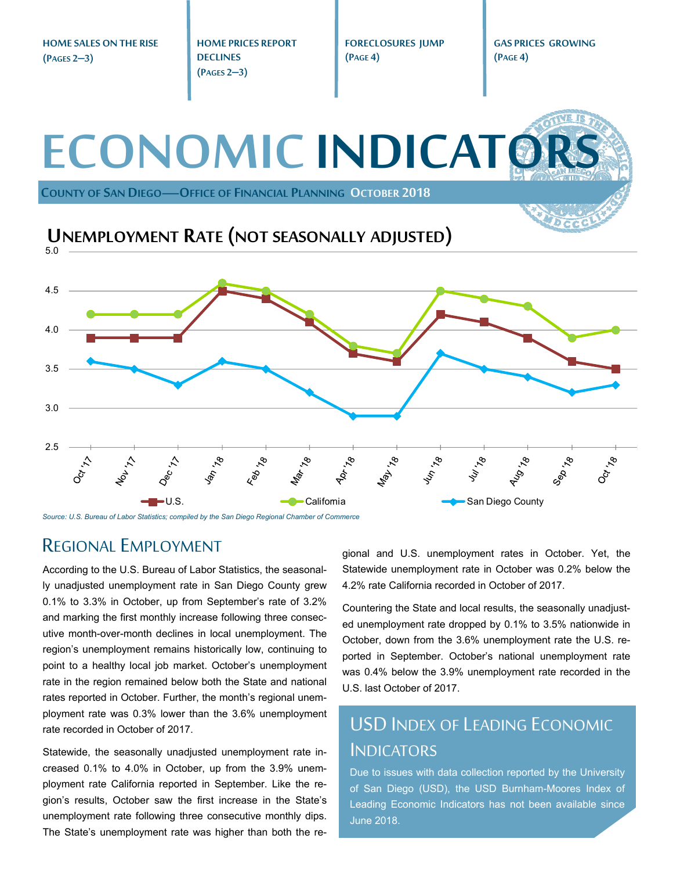**HOME SALES ON THE RISE (PAGES 2–3)** 

**HOME PRICES REPORT DECLINES (PAGES 2–3)** 

**FORECLOSURES JUMP (PAGE 4)** 

**GAS PRICES GROWING (PAGE 4)** 



*Source: U.S. Bureau of Labor Statistics; compiled by the San Diego Regional Chamber of Commerce* 

#### REGIONAL EMPLOYMENT

According to the U.S. Bureau of Labor Statistics, the seasonally unadjusted unemployment rate in San Diego County grew 0.1% to 3.3% in October, up from September's rate of 3.2% and marking the first monthly increase following three consecutive month-over-month declines in local unemployment. The region's unemployment remains historically low, continuing to point to a healthy local job market. October's unemployment rate in the region remained below both the State and national rates reported in October. Further, the month's regional unemployment rate was 0.3% lower than the 3.6% unemployment rate recorded in October of 2017.

Statewide, the seasonally unadjusted unemployment rate increased 0.1% to 4.0% in October, up from the 3.9% unemployment rate California reported in September. Like the region's results, October saw the first increase in the State's unemployment rate following three consecutive monthly dips. The State's unemployment rate was higher than both the regional and U.S. unemployment rates in October. Yet, the Statewide unemployment rate in October was 0.2% below the 4.2% rate California recorded in October of 2017.

Countering the State and local results, the seasonally unadjusted unemployment rate dropped by 0.1% to 3.5% nationwide in October, down from the 3.6% unemployment rate the U.S. reported in September. October's national unemployment rate was 0.4% below the 3.9% unemployment rate recorded in the U.S. last October of 2017.

### USD INDEX OF LEADING ECONOMIC INDICATORS

Due to issues with data collection reported by the University of San Diego (USD), the USD Burnham-Moores Index of Leading Economic Indicators has not been available since June 2018.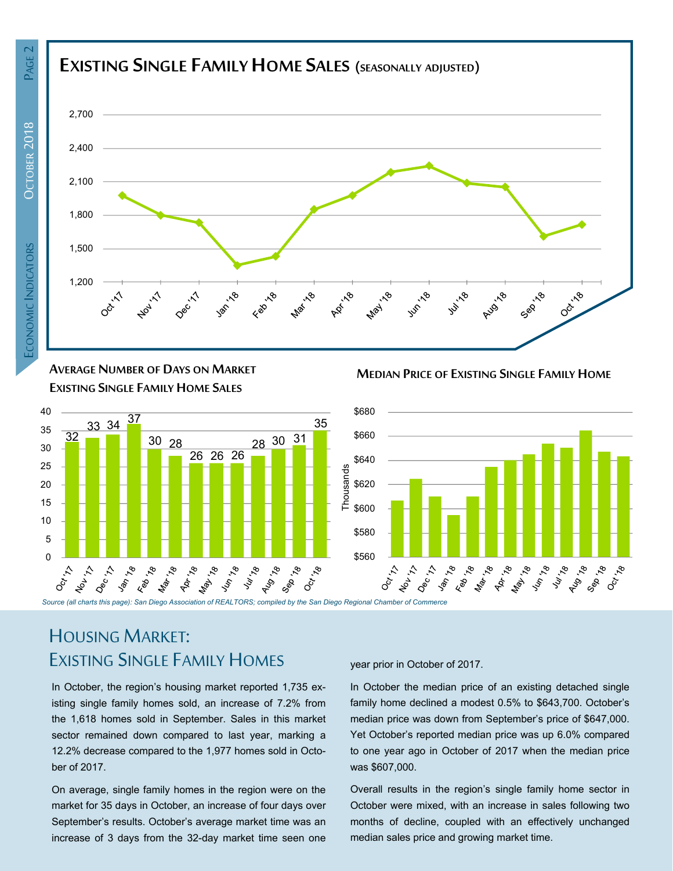

**AVERAGE NUMBER OF DAYS ON MARKET EXISTING SINGLE FAMILY HOME SALES**



# HOUSING MARKET: EXISTING SINGLE FAMILY HOMES

In October, the region's housing market reported 1,735 existing single family homes sold, an increase of 7.2% from the 1,618 homes sold in September. Sales in this market sector remained down compared to last year, marking a 12.2% decrease compared to the 1,977 homes sold in October of 2017.

On average, single family homes in the region were on the market for 35 days in October, an increase of four days over September's results. October's average market time was an increase of 3 days from the 32-day market time seen one year prior in October of 2017.

In October the median price of an existing detached single family home declined a modest 0.5% to \$643,700. October's median price was down from September's price of \$647,000. Yet October's reported median price was up 6.0% compared to one year ago in October of 2017 when the median price was \$607,000.

**MEDIAN PRICE OF EXISTING SINGLE FAMILY HOME**

Overall results in the region's single family home sector in October were mixed, with an increase in sales following two months of decline, coupled with an effectively unchanged median sales price and growing market time.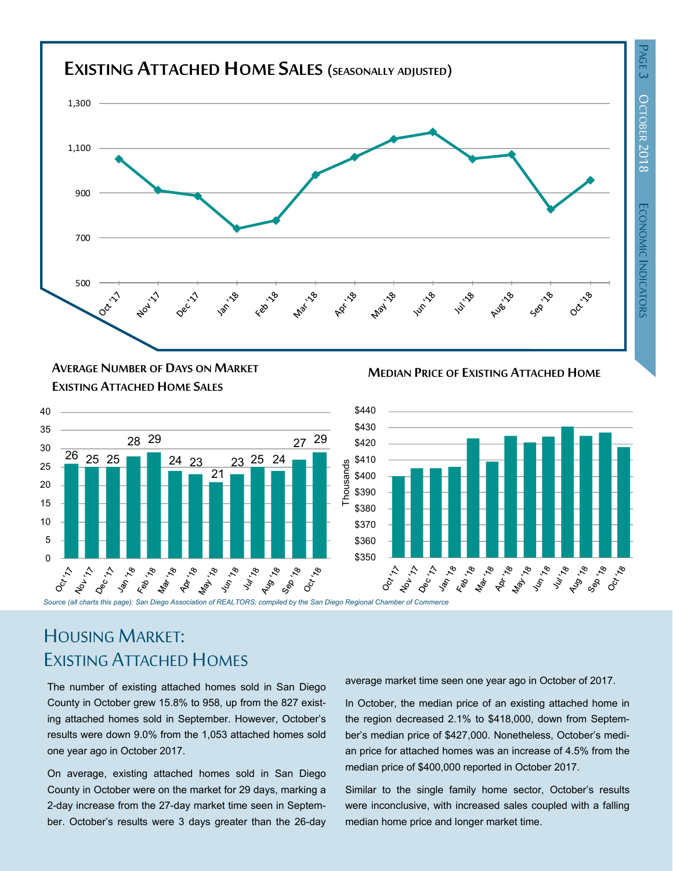ี่ลี



**MEDIAN PRICE OF EXISTING ATTACHED HOME AVERAGE NUMBER OF DAYS ON MARKET EXISTING ATTACHED HOME SALES**





# HOUSING MARKET: EXISTING ATTACHED HOMES

The number of existing attached homes sold in San Diego County in October grew 15.8% to 958, up from the 827 existing attached homes sold in September. However, October's results were down 9.0% from the 1,053 attached homes sold one year ago in October 2017.

On average, existing attached homes sold in San Diego County in October were on the market for 29 days, marking a 2-day increase from the 27-day market time seen in September. October's results were 3 days greater than the 26-day average market time seen one year ago in October of 2017.

In October, the median price of an existing attached home in the region decreased 2.1% to \$418,000, down from September's median price of \$427,000. Nonetheless, October's median price for attached homes was an increase of 4.5% from the median price of \$400,000 reported in October 2017.

Similar to the single family home sector, October's results were inconclusive, with increased sales coupled with a falling median home price and longer market time.